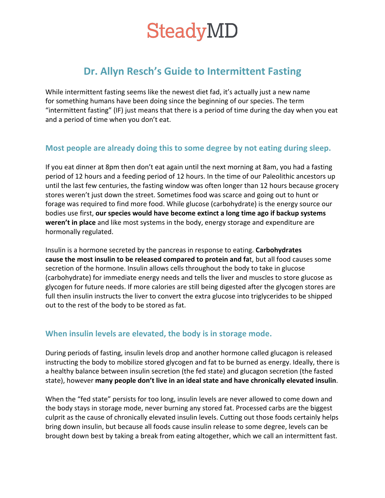# **SteadyMD**

## **Dr. Allyn Resch's Guide to Intermittent Fasting**

While intermittent fasting seems like the newest diet fad, it's actually just a new name for something humans have been doing since the beginning of our species. The term "intermittent fasting" (IF) just means that there is a period of time during the day when you eat and a period of time when you don't eat.

### **Most people are already doing this to some degree by not eating during sleep.**

If you eat dinner at 8pm then don't eat again until the next morning at 8am, you had a fasting period of 12 hours and a feeding period of 12 hours. In the time of our Paleolithic ancestors up until the last few centuries, the fasting window was often longer than 12 hours because grocery stores weren't just down the street. Sometimes food was scarce and going out to hunt or forage was required to find more food. While glucose (carbohydrate) is the energy source our bodies use first, **our species would have become extinct a long time ago if backup systems weren't in place** and like most systems in the body, energy storage and expenditure are hormonally regulated.

Insulin is a hormone secreted by the pancreas in response to eating. **Carbohydrates cause the most insulin to be released compared to protein and fa**t, but all food causes some secretion of the hormone. Insulin allows cells throughout the body to take in glucose (carbohydrate) for immediate energy needs and tells the liver and muscles to store glucose as glycogen for future needs. If more calories are still being digested after the glycogen stores are full then insulin instructs the liver to convert the extra glucose into triglycerides to be shipped out to the rest of the body to be stored as fat.

#### **When insulin levels are elevated, the body is in storage mode.**

During periods of fasting, insulin levels drop and another hormone called glucagon is released instructing the body to mobilize stored glycogen and fat to be burned as energy. Ideally, there is a healthy balance between insulin secretion (the fed state) and glucagon secretion (the fasted state), however **many people don't live in an ideal state and have chronically elevated insulin**.

When the "fed state" persists for too long, insulin levels are never allowed to come down and the body stays in storage mode, never burning any stored fat. Processed carbs are the biggest culprit as the cause of chronically elevated insulin levels. Cutting out those foods certainly helps bring down insulin, but because all foods cause insulin release to some degree, levels can be brought down best by taking a break from eating altogether, which we call an intermittent fast.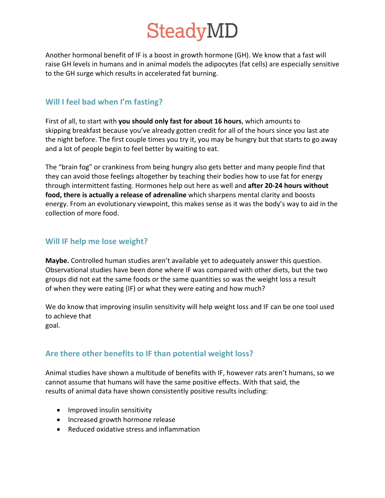# **SteadyMD**

Another hormonal benefit of IF is a boost in growth hormone (GH). We know that a fast will raise GH levels in humans and in animal models the adipocytes (fat cells) are especially sensitive to the GH surge which results in accelerated fat burning.

#### **Will I feel bad when I'm fasting?**

First of all, to start with **you should only fast for about 16 hours**, which amounts to skipping breakfast because you've already gotten credit for all of the hours since you last ate the night before. The first couple times you try it, you may be hungry but that starts to go away and a lot of people begin to feel better by waiting to eat.

The "brain fog" or crankiness from being hungry also gets better and many people find that they can avoid those feelings altogether by teaching their bodies how to use fat for energy through intermittent fasting. Hormones help out here as well and **after 20-24 hours without food, there is actually a release of adrenaline** which sharpens mental clarity and boosts energy. From an evolutionary viewpoint, this makes sense as it was the body's way to aid in the collection of more food.

### **Will IF help me lose weight?**

**Maybe.** Controlled human studies aren't available yet to adequately answer this question. Observational studies have been done where IF was compared with other diets, but the two groups did not eat the same foods or the same quantities so was the weight loss a result of when they were eating (IF) or what they were eating and how much?

We do know that improving insulin sensitivity will help weight loss and IF can be one tool used to achieve that goal.

#### **Are there other benefits to IF than potential weight loss?**

Animal studies have shown a multitude of benefits with IF, however rats aren't humans, so we cannot assume that humans will have the same positive effects. With that said, the results of animal data have shown consistently positive results including:

- Improved insulin sensitivity
- Increased growth hormone release
- Reduced oxidative stress and inflammation